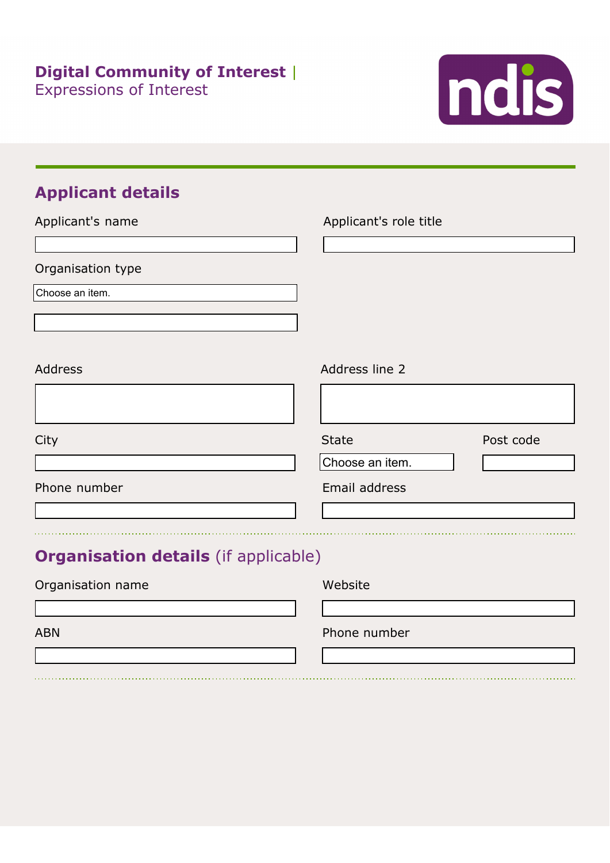

# **Applicant details**

| Applicant's name                            | Applicant's role title |           |
|---------------------------------------------|------------------------|-----------|
|                                             |                        |           |
| Organisation type                           |                        |           |
| Choose an item.                             |                        |           |
|                                             |                        |           |
|                                             |                        |           |
| <b>Address</b>                              | Address line 2         |           |
|                                             |                        |           |
| City                                        | <b>State</b>           | Post code |
|                                             | Choose an item.        |           |
| Phone number                                | Email address          |           |
|                                             |                        |           |
|                                             |                        |           |
| <b>Organisation details</b> (if applicable) |                        |           |
| Organisation name                           | Website                |           |
|                                             |                        |           |
| <b>ABN</b>                                  | Phone number           |           |
|                                             |                        |           |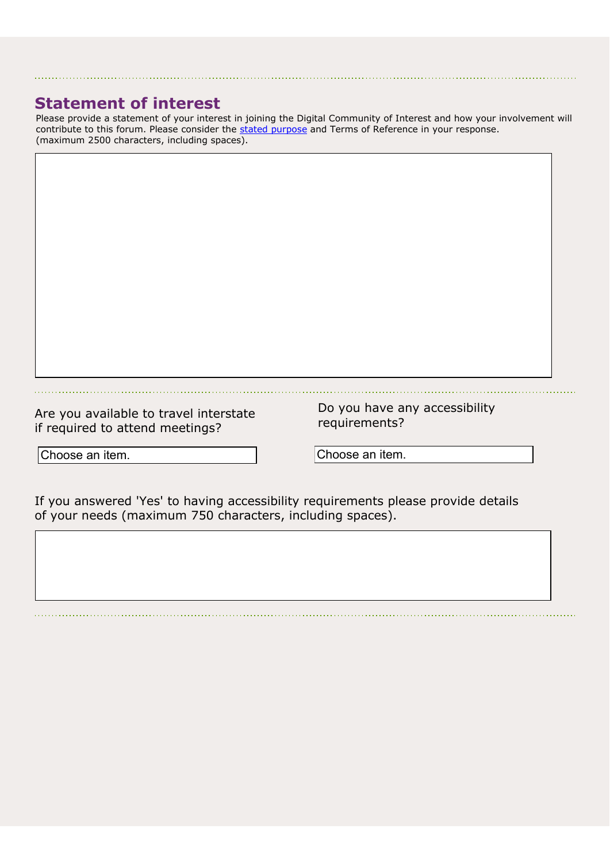### **Statement of interest**

Please provide a statement of your interest in joining the Digital Community of Interest and how your involvement will contribute to this forum. Please consider the stated purpose and Terms of Reference in your response. (maximum 2500 characters, including spaces).

Are you available to travel interstate if required to attend meetings?

Do you have any accessibility requirements?

Choose an item. Choose an item. Choose

Choose an item. an item.

If you answered 'Yes' to having accessibility requirements please provide details of your needs (maximum 750 characters, including spaces).